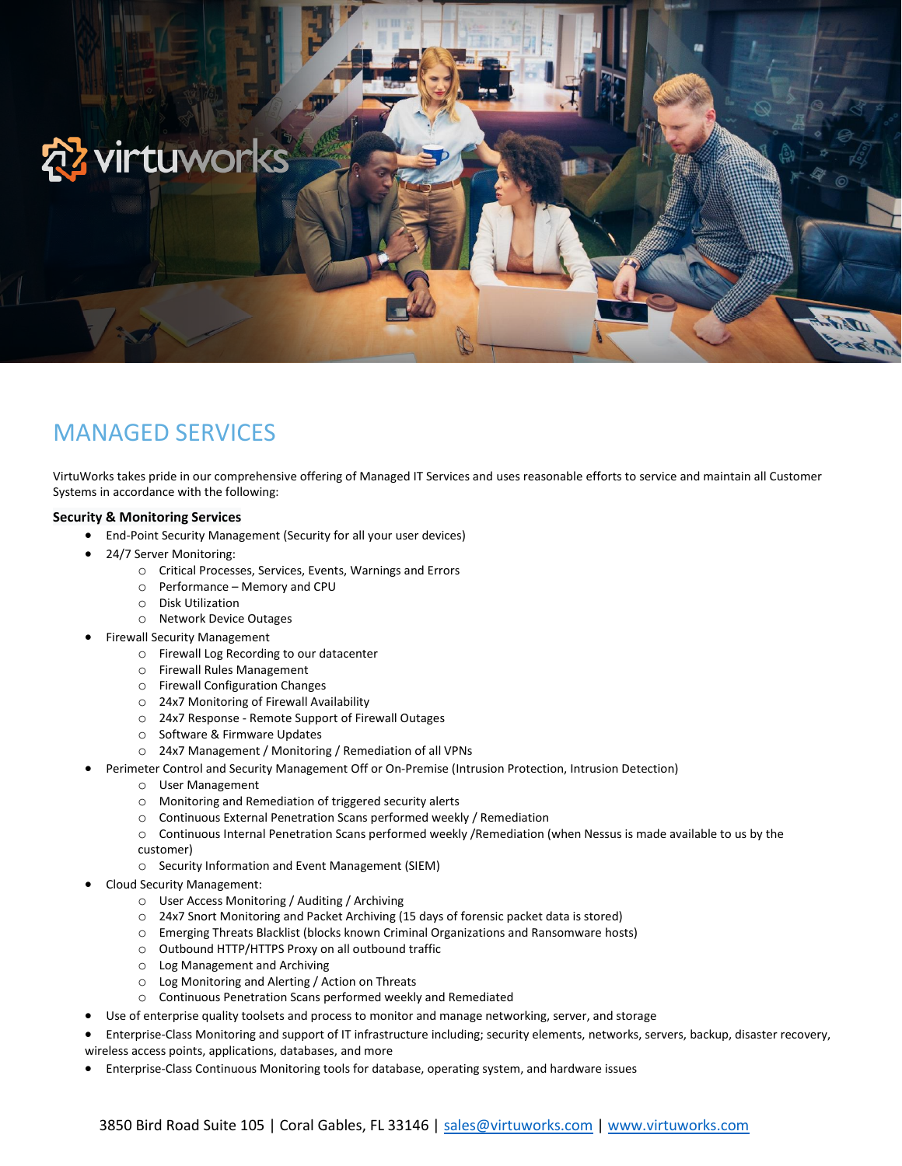

# MANAGED SERVICES

VirtuWorks takes pride in our comprehensive offering of Managed IT Services and uses reasonable efforts to service and maintain all Customer Systems in accordance with the following:

#### **Security & Monitoring Services**

- End-Point Security Management (Security for all your user devices)
- 24/7 Server Monitoring:
	- o Critical Processes, Services, Events, Warnings and Errors
	- o Performance Memory and CPU
	- o Disk Utilization
	- o Network Device Outages
- Firewall Security Management
	- o Firewall Log Recording to our datacenter
	- o Firewall Rules Management
	- o Firewall Configuration Changes
	- o 24x7 Monitoring of Firewall Availability
	- o 24x7 Response Remote Support of Firewall Outages
	- o Software & Firmware Updates
	- o 24x7 Management / Monitoring / Remediation of all VPNs
	- Perimeter Control and Security Management Off or On-Premise (Intrusion Protection, Intrusion Detection)
		- o User Management
		- o Monitoring and Remediation of triggered security alerts
		- o Continuous External Penetration Scans performed weekly / Remediation
		- o Continuous Internal Penetration Scans performed weekly /Remediation (when Nessus is made available to us by the customer)
		- o Security Information and Event Management (SIEM)
- Cloud Security Management:
	- o User Access Monitoring / Auditing / Archiving
	- o 24x7 Snort Monitoring and Packet Archiving (15 days of forensic packet data is stored)
	- o Emerging Threats Blacklist (blocks known Criminal Organizations and Ransomware hosts)
	- o Outbound HTTP/HTTPS Proxy on all outbound traffic
	- o Log Management and Archiving
	- o Log Monitoring and Alerting / Action on Threats
	- o Continuous Penetration Scans performed weekly and Remediated
- Use of enterprise quality toolsets and process to monitor and manage networking, server, and storage
- Enterprise-Class Monitoring and support of IT infrastructure including; security elements, networks, servers, backup, disaster recovery, wireless access points, applications, databases, and more
- Enterprise-Class Continuous Monitoring tools for database, operating system, and hardware issues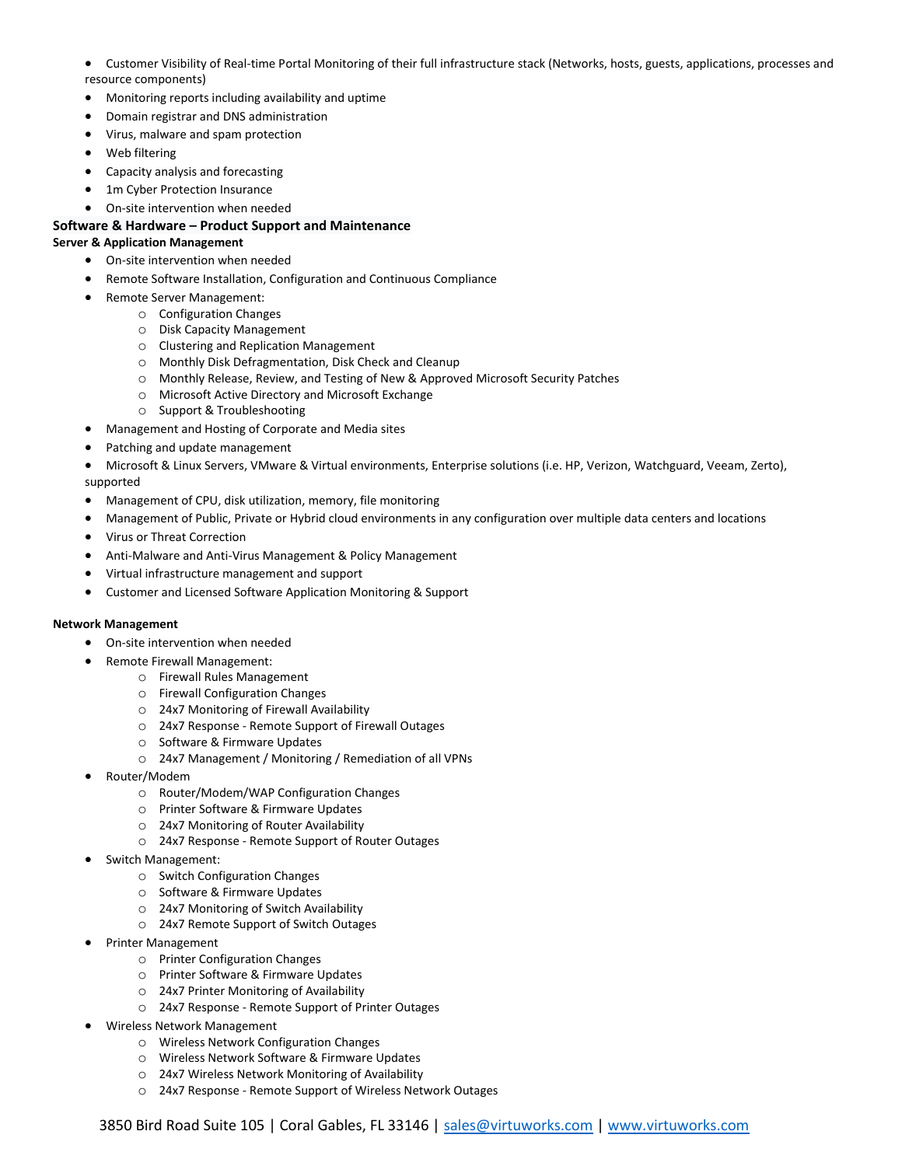- Customer Visibility of Real-time Portal Monitoring of their full infrastructure stack (Networks, hosts, guests, applications, processes and resource components)
- Monitoring reports including availability and uptime
- Domain registrar and DNS administration
- Virus, malware and spam protection
- Web filtering
- Capacity analysis and forecasting
- 1m Cyber Protection Insurance
- On-site intervention when needed

#### **Software & Hardware – Product Support and Maintenance Server & Application Management**

- On-site intervention when needed
- Remote Software Installation, Configuration and Continuous Compliance
- Remote Server Management:
	- o Configuration Changes
	- o Disk Capacity Management
	- o Clustering and Replication Management
	- o Monthly Disk Defragmentation, Disk Check and Cleanup
	- o Monthly Release, Review, and Testing of New & Approved Microsoft Security Patches
	- o Microsoft Active Directory and Microsoft Exchange
	- o Support & Troubleshooting
- Management and Hosting of Corporate and Media sites
- Patching and update management
- Microsoft & Linux Servers, VMware & Virtual environments, Enterprise solutions (i.e. HP, Verizon, Watchguard, Veeam, Zerto), supported
- 
- Management of CPU, disk utilization, memory, file monitoring
- Management of Public, Private or Hybrid cloud environments in any configuration over multiple data centers and locations
- Virus or Threat Correction
- Anti-Malware and Anti-Virus Management & Policy Management
- Virtual infrastructure management and support
- Customer and Licensed Software Application Monitoring & Support

#### **Network Management**

- On-site intervention when needed
- Remote Firewall Management:
	- o Firewall Rules Management
	- o Firewall Configuration Changes
	- o 24x7 Monitoring of Firewall Availability
	- o 24x7 Response Remote Support of Firewall Outages
	- o Software & Firmware Updates
	- o 24x7 Management / Monitoring / Remediation of all VPNs
- Router/Modem
	- o Router/Modem/WAP Configuration Changes
	- o Printer Software & Firmware Updates
	- o 24x7 Monitoring of Router Availability
	- o 24x7 Response Remote Support of Router Outages
- Switch Management:
	- o Switch Configuration Changes
	- o Software & Firmware Updates
	- o 24x7 Monitoring of Switch Availability
	- o 24x7 Remote Support of Switch Outages
- Printer Management
	- o Printer Configuration Changes
	- o Printer Software & Firmware Updates
	- o 24x7 Printer Monitoring of Availability
	- o 24x7 Response Remote Support of Printer Outages
- Wireless Network Management
	- o Wireless Network Configuration Changes
	- o Wireless Network Software & Firmware Updates
	- o 24x7 Wireless Network Monitoring of Availability
	- o 24x7 Response Remote Support of Wireless Network Outages